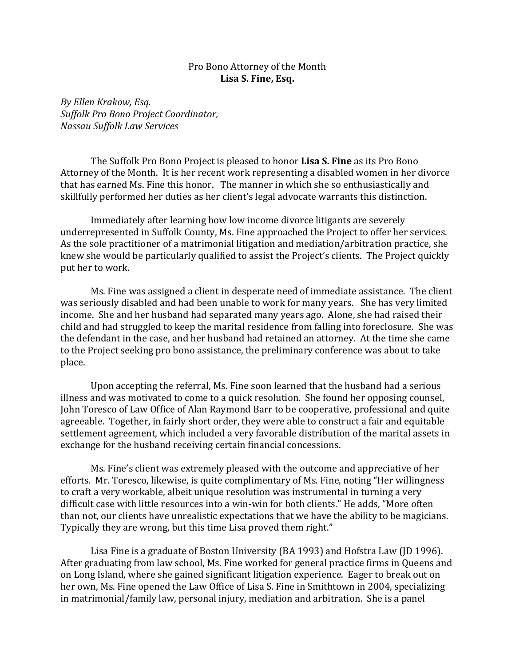## Pro Bono Attorney of the Month **Lisa S. Fine, Esq.**

*By Ellen Krakow, Esq. Suffolk Pro Bono Project Coordinator, Nassau Suffolk Law Services*

The Suffolk Pro Bono Project is pleased to honor **Lisa S. Fine** as its Pro Bono Attorney of the Month. It is her recent work representing a disabled women in her divorce that has earned Ms. Fine this honor. The manner in which she so enthusiastically and skillfully performed her duties as her client's legal advocate warrants this distinction.

Immediately after learning how low income divorce litigants are severely underrepresented in Suffolk County, Ms. Fine approached the Project to offer her services. As the sole practitioner of a matrimonial litigation and mediation/arbitration practice, she knew she would be particularly qualified to assist the Project's clients. The Project quickly put her to work.

Ms. Fine was assigned a client in desperate need of immediate assistance. The client was seriously disabled and had been unable to work for many years. She has very limited income. She and her husband had separated many years ago. Alone, she had raised their child and had struggled to keep the marital residence from falling into foreclosure. She was the defendant in the case, and her husband had retained an attorney. At the time she came to the Project seeking pro bono assistance, the preliminary conference was about to take place.

Upon accepting the referral, Ms. Fine soon learned that the husband had a serious illness and was motivated to come to a quick resolution. She found her opposing counsel, John Toresco of Law Office of Alan Raymond Barr to be cooperative, professional and quite agreeable. Together, in fairly short order, they were able to construct a fair and equitable settlement agreement, which included a very favorable distribution of the marital assets in exchange for the husband receiving certain financial concessions.

Ms. Fine's client was extremely pleased with the outcome and appreciative of her efforts. Mr. Toresco, likewise, is quite complimentary of Ms. Fine, noting "Her willingness to craft a very workable, albeit unique resolution was instrumental in turning a very difficult case with little resources into a win-win for both clients." He adds, "More often than not, our clients have unrealistic expectations that we have the ability to be magicians. Typically they are wrong, but this time Lisa proved them right."

Lisa Fine is a graduate of Boston University (BA 1993) and Hofstra Law (JD 1996). After graduating from law school, Ms. Fine worked for general practice firms in Queens and on Long Island, where she gained significant litigation experience. Eager to break out on her own, Ms. Fine opened the Law Office of Lisa S. Fine in Smithtown in 2004, specializing in matrimonial/family law, personal injury, mediation and arbitration. She is a panel